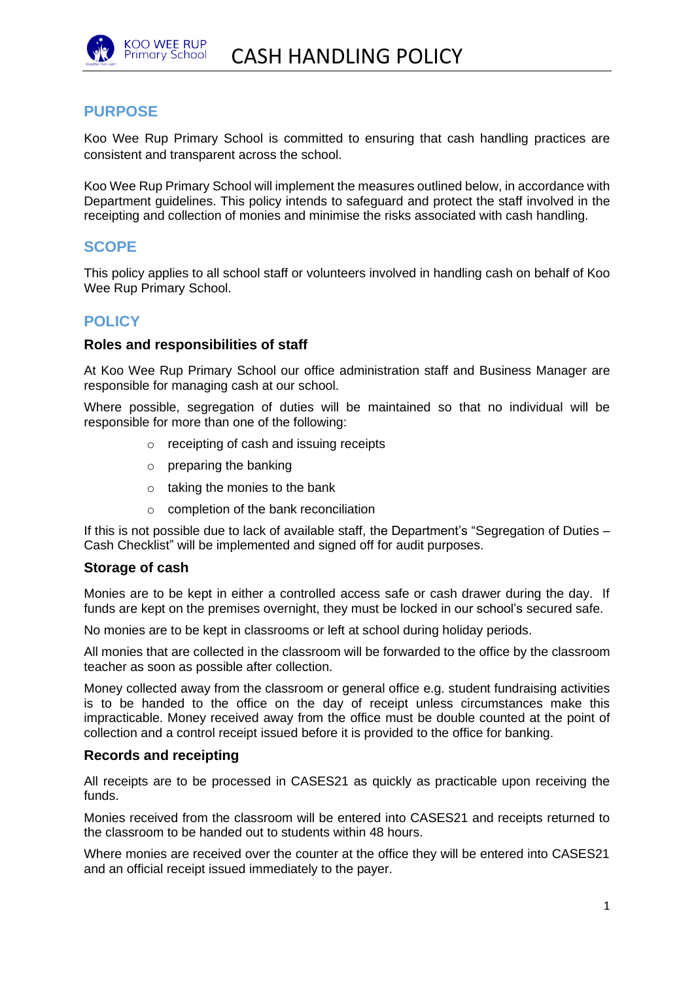

## **PURPOSE**

Koo Wee Rup Primary School is committed to ensuring that cash handling practices are consistent and transparent across the school.

Koo Wee Rup Primary School will implement the measures outlined below, in accordance with Department guidelines. This policy intends to safeguard and protect the staff involved in the receipting and collection of monies and minimise the risks associated with cash handling.

### **SCOPE**

This policy applies to all school staff or volunteers involved in handling cash on behalf of Koo Wee Rup Primary School.

# **POLICY**

#### **Roles and responsibilities of staff**

At Koo Wee Rup Primary School our office administration staff and Business Manager are responsible for managing cash at our school.

Where possible, segregation of duties will be maintained so that no individual will be responsible for more than one of the following:

- o receipting of cash and issuing receipts
- $\circ$  preparing the banking
- $\circ$  taking the monies to the bank
- o completion of the bank reconciliation

If this is not possible due to lack of available staff, the Department's "Segregation of Duties – Cash Checklist" will be implemented and signed off for audit purposes.

#### **Storage of cash**

Monies are to be kept in either a controlled access safe or cash drawer during the day. If funds are kept on the premises overnight, they must be locked in our school's secured safe.

No monies are to be kept in classrooms or left at school during holiday periods.

All monies that are collected in the classroom will be forwarded to the office by the classroom teacher as soon as possible after collection.

Money collected away from the classroom or general office e.g. student fundraising activities is to be handed to the office on the day of receipt unless circumstances make this impracticable. Money received away from the office must be double counted at the point of collection and a control receipt issued before it is provided to the office for banking.

#### **Records and receipting**

All receipts are to be processed in CASES21 as quickly as practicable upon receiving the funds.

Monies received from the classroom will be entered into CASES21 and receipts returned to the classroom to be handed out to students within 48 hours.

Where monies are received over the counter at the office they will be entered into CASES21 and an official receipt issued immediately to the payer.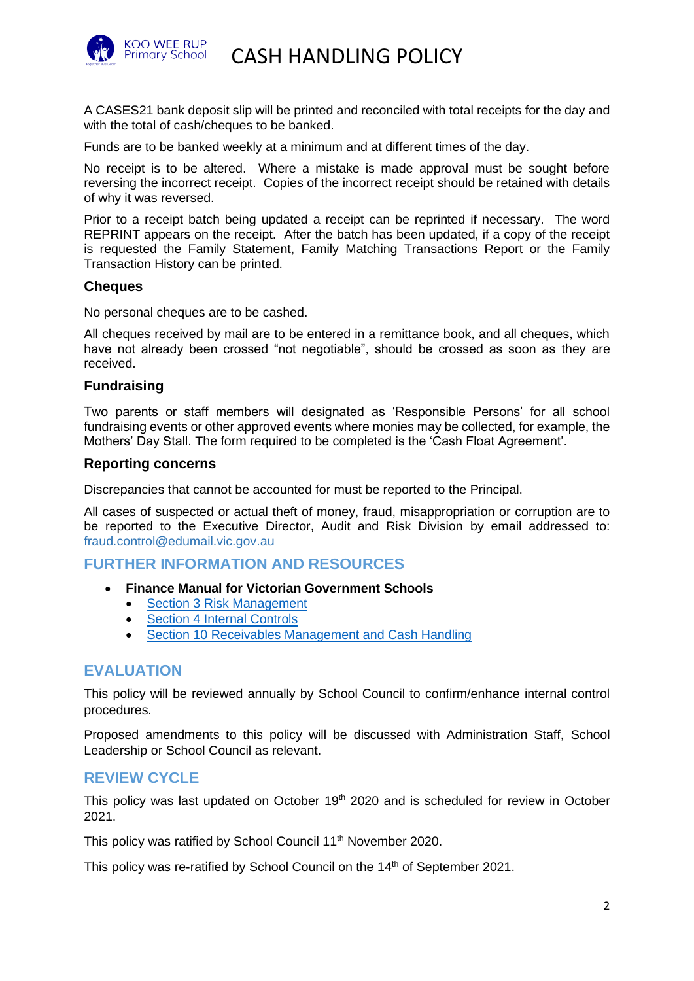

A CASES21 bank deposit slip will be printed and reconciled with total receipts for the day and with the total of cash/cheques to be banked.

Funds are to be banked weekly at a minimum and at different times of the day.

No receipt is to be altered. Where a mistake is made approval must be sought before reversing the incorrect receipt. Copies of the incorrect receipt should be retained with details of why it was reversed.

Prior to a receipt batch being updated a receipt can be reprinted if necessary. The word REPRINT appears on the receipt. After the batch has been updated, if a copy of the receipt is requested the Family Statement, Family Matching Transactions Report or the Family Transaction History can be printed.

#### **Cheques**

No personal cheques are to be cashed.

All cheques received by mail are to be entered in a remittance book, and all cheques, which have not already been crossed "not negotiable", should be crossed as soon as they are received.

### **Fundraising**

Two parents or staff members will designated as 'Responsible Persons' for all school fundraising events or other approved events where monies may be collected, for example, the Mothers' Day Stall. The form required to be completed is the 'Cash Float Agreement'.

#### **Reporting concerns**

Discrepancies that cannot be accounted for must be reported to the Principal.

All cases of suspected or actual theft of money, fraud, misappropriation or corruption are to be reported to the Executive Director, Audit and Risk Division by email addressed to: [fraud.control@edumail.vic.gov.au](mailto:fraud.control@edumail.vic.gov.au%0D%20%20%20%20%20%20or)

# **FURTHER INFORMATION AND RESOURCES**

- **Finance Manual for Victorian Government Schools** 
	- [Section 3 Risk Management](https://www2.education.vic.gov.au/pal/risk-management-finance-manual-section-3/policy)
	- [Section 4 Internal Controls](https://www2.education.vic.gov.au/pal/internal-controls-finance-manual-section-4/policy)
	- [Section 10 Receivables Management and Cash Handling](https://www2.education.vic.gov.au/pal/receivables-management-and-cash-handling-finance-manual-section-10/policy)

## **EVALUATION**

This policy will be reviewed annually by School Council to confirm/enhance internal control procedures.

Proposed amendments to this policy will be discussed with Administration Staff, School Leadership or School Council as relevant.

### **REVIEW CYCLE**

This policy was last updated on October 19<sup>th</sup> 2020 and is scheduled for review in October 2021.

This policy was ratified by School Council 11<sup>th</sup> November 2020.

This policy was re-ratified by School Council on the 14<sup>th</sup> of September 2021.